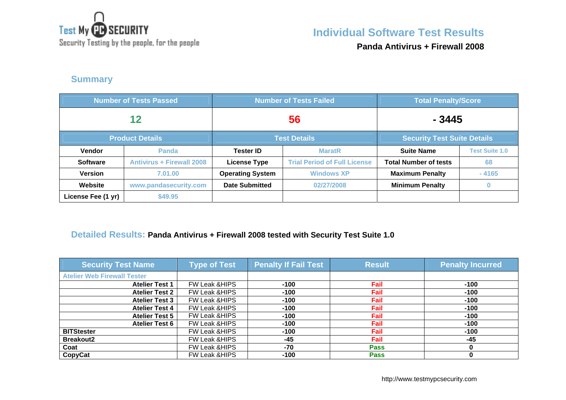

Security Testing by the people, for the people

**Panda Antivirus + Firewall 2008**

## **Summary**

| <b>Number of Tests Passed</b>                 |                                  |                         | <b>Number of Tests Failed</b>       | <b>Total Penalty/Score</b>   |                       |
|-----------------------------------------------|----------------------------------|-------------------------|-------------------------------------|------------------------------|-----------------------|
| 12                                            |                                  | 56                      |                                     | $-3445$                      |                       |
| <b>Product Details</b><br><b>Test Details</b> |                                  |                         | <b>Security Test Suite Details</b>  |                              |                       |
| Vendor                                        | <b>Panda</b>                     | <b>Tester ID</b>        | <b>MaratR</b>                       | <b>Suite Name</b>            | <b>Test Suite 1.0</b> |
| <b>Software</b>                               | <b>Antivirus + Firewall 2008</b> | <b>License Type</b>     | <b>Trial Period of Full License</b> | <b>Total Number of tests</b> | 68                    |
| <b>Version</b>                                | 7.01.00                          | <b>Operating System</b> | <b>Windows XP</b>                   | <b>Maximum Penalty</b>       | $-4165$               |
| Website                                       | www.pandasecurity.com            | <b>Date Submitted</b>   | 02/27/2008                          | <b>Minimum Penalty</b>       |                       |
| License Fee (1 yr)                            | \$49.95                          |                         |                                     |                              |                       |

### **Detailed Results: Panda Antivirus + Firewall 2008 tested with Security Test Suite 1.0**

| <b>Security Test Name</b>          | <b>Type of Test</b>      | <b>Penalty If Fail Test</b> | <b>Result</b> | <b>Penalty Incurred</b> |
|------------------------------------|--------------------------|-----------------------------|---------------|-------------------------|
| <b>Atelier Web Firewall Tester</b> |                          |                             |               |                         |
| <b>Atelier Test 1</b>              | <b>FW Leak &amp;HIPS</b> | $-100$                      | Fail          | $-100$                  |
| <b>Atelier Test 2</b>              | <b>FW Leak &amp;HIPS</b> | $-100$                      | Fail          | $-100$                  |
| <b>Atelier Test 3</b>              | FW Leak & HIPS           | $-100$                      | Fail          | $-100$                  |
| <b>Atelier Test 4</b>              | <b>FW Leak &amp;HIPS</b> | $-100$                      | Fail          | $-100$                  |
| <b>Atelier Test 5</b>              | FW Leak & HIPS           | $-100$                      | Fail          | $-100$                  |
| <b>Atelier Test 6</b>              | FW Leak & HIPS           | $-100$                      | Fail          | $-100$                  |
| <b>BITStester</b>                  | <b>FW Leak &amp;HIPS</b> | $-100$                      | Fail          | $-100$                  |
| <b>Breakout2</b>                   | <b>FW Leak &amp;HIPS</b> | -45                         | Fail          | -45                     |
| Coat                               | FW Leak & HIPS           | $-70$                       | <b>Pass</b>   |                         |
| <b>CopyCat</b>                     | <b>FW Leak &amp;HIPS</b> | $-100$                      | <b>Pass</b>   |                         |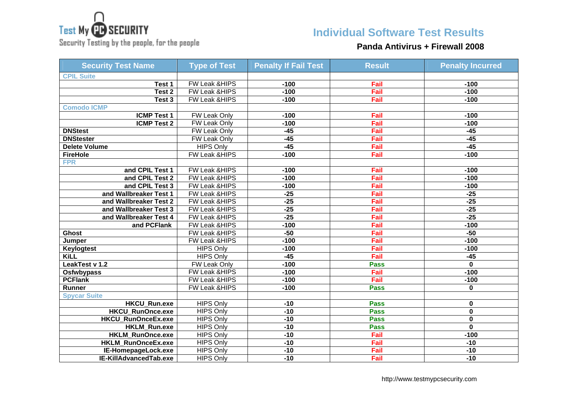

Security Testing by the people, for the people

# **Individual Software Test Results**

### **Panda Antivirus + Firewall 2008**

| <b>Security Test Name</b> | <b>Type of Test</b> | <b>Penalty If Fail Test</b> | <b>Result</b> | <b>Penalty Incurred</b> |
|---------------------------|---------------------|-----------------------------|---------------|-------------------------|
| <b>CPIL Suite</b>         |                     |                             |               |                         |
| Test 1                    | FW Leak &HIPS       | $-100$                      | Fail          | $-100$                  |
| Test 2                    | FW Leak & HIPS      | $-100$                      | Fail          | $-100$                  |
| Test 3                    | FW Leak & HIPS      | $-100$                      | Fail          | $-100$                  |
| <b>Comodo ICMP</b>        |                     |                             |               |                         |
| <b>ICMP Test 1</b>        | FW Leak Only        | $-100$                      | Fail          | $-100$                  |
| <b>ICMP Test 2</b>        | FW Leak Only        | $-100$                      | Fail          | $-100$                  |
| <b>DNStest</b>            | FW Leak Only        | $-45$                       | Fail          | $-45$                   |
| <b>DNStester</b>          | <b>FW Leak Only</b> | $-45$                       | Fail          | $-45$                   |
| <b>Delete Volume</b>      | <b>HIPS Only</b>    | $-45$                       | Fail          | $-45$                   |
| <b>FireHole</b>           | FW Leak &HIPS       | $-100$                      | Fail          | $-100$                  |
| <b>FPR</b>                |                     |                             |               |                         |
| and CPIL Test 1           | FW Leak &HIPS       | $-100$                      | Fail          | $-100$                  |
| and CPIL Test 2           | FW Leak &HIPS       | $-100$                      | Fail          | $-100$                  |
| and CPIL Test 3           | FW Leak &HIPS       | $-100$                      | Fail          | $-100$                  |
| and Wallbreaker Test 1    | FW Leak & HIPS      | $-25$                       | Fail          | $-25$                   |
| and Wallbreaker Test 2    | FW Leak &HIPS       | $-25$                       | Fail          | $-25$                   |
| and Wallbreaker Test 3    | FW Leak &HIPS       | $-25$                       | Fail          | $-25$                   |
| and Wallbreaker Test 4    | FW Leak &HIPS       | $-25$                       | Fail          | $-25$                   |
| and PCFlank               | FW Leak &HIPS       | $-100$                      | Fail          | $-100$                  |
| <b>Ghost</b>              | FW Leak &HIPS       | $-50$                       | Fail          | $-50$                   |
| Jumper                    | FW Leak & HIPS      | $-100$                      | Fail          | $-100$                  |
| Keylogtest                | <b>HIPS Only</b>    | $-100$                      | Fail          | $-100$                  |
| <b>KiLL</b>               | <b>HIPS Only</b>    | $-45$                       | Fail          | $-45$                   |
| LeakTest v 1.2            | FW Leak Only        | $-100$                      | <b>Pass</b>   | $\mathbf{0}$            |
| <b>Osfwbypass</b>         | FW Leak & HIPS      | $-100$                      | Fail          | $-100$                  |
| <b>PCFlank</b>            | FW Leak & HIPS      | $-100$                      | Fail          | $-100$                  |
| Runner                    | FW Leak & HIPS      | $-100$                      | <b>Pass</b>   | $\mathbf{0}$            |
| <b>Spycar Suite</b>       |                     |                             |               |                         |
| <b>HKCU_Run.exe</b>       | <b>HIPS Only</b>    | $-10$                       | <b>Pass</b>   | 0                       |
| <b>HKCU RunOnce.exe</b>   | <b>HIPS Only</b>    | $-10$                       | <b>Pass</b>   | $\mathbf 0$             |
| <b>HKCU RunOnceEx.exe</b> | <b>HIPS Only</b>    | $-10$                       | <b>Pass</b>   | 0                       |
| <b>HKLM Run.exe</b>       | <b>HIPS Only</b>    | $-10$                       | <b>Pass</b>   | $\mathbf{0}$            |
| <b>HKLM RunOnce.exe</b>   | <b>HIPS Only</b>    | $-10$                       | Fail          | $-100$                  |
| HKLM_RunOnceEx.exe        | <b>HIPS Only</b>    | $-10$                       | Fail          | $-10$                   |
| IE-HomepageLock.exe       | <b>HIPS Only</b>    | $-10$                       | Fail          | $-10$                   |
| IE-KillAdvancedTab.exe    | <b>HIPS Only</b>    | $-10$                       | Fail          | $-10$                   |